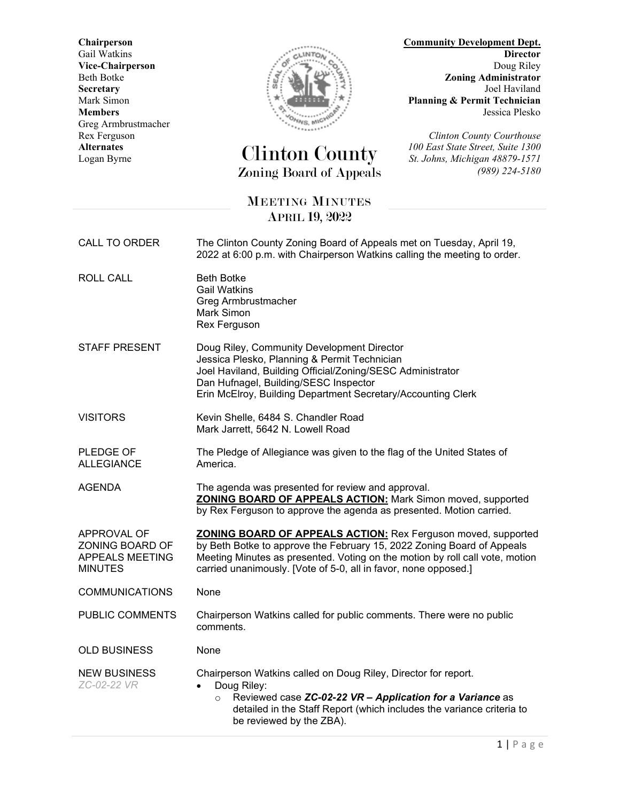**Vice-Chairperson**<br>Beth Botke Greg Armbrustmacher



## **Alternates** Clinton County *100 East State Street, Suite 1300* Logan Byrne *St. Johns, Michigan 48879-1571* Zoning Board of Appeals *(989) 224-5180*

**Chairperson Community Development Dept.** Gail Watkins **Director**<br>
Vice-Chairperson **Director**<br>
Doug Riley Beth Botke *Zoning Administrator Beth Botke Zoning Administrator Joel Haviland* **Secretary** Joel Haviland<br>Mark Simon Joel Haviland<br>Mark Simon **Planning & Permit Technician** Mark Simon **Planning & Permit Technician**<br>Members Jessica Plesko **Members** Jessica Plesko

Rex Ferguson<br> **Rex Ferguson**<br> **Clinton County Courthouse**<br> **Clinton County Courthouse**<br> **Clinton County Courthouse**<br> **Clinton County Courthouse** 

## MEETING MINUTES APRIL 19, 2022

| CALL TO ORDER                                                              | The Clinton County Zoning Board of Appeals met on Tuesday, April 19,<br>2022 at 6:00 p.m. with Chairperson Watkins calling the meeting to order.                                                                                                                                                  |
|----------------------------------------------------------------------------|---------------------------------------------------------------------------------------------------------------------------------------------------------------------------------------------------------------------------------------------------------------------------------------------------|
| <b>ROLL CALL</b>                                                           | <b>Beth Botke</b><br><b>Gail Watkins</b><br>Greg Armbrustmacher<br>Mark Simon<br>Rex Ferguson                                                                                                                                                                                                     |
| <b>STAFF PRESENT</b>                                                       | Doug Riley, Community Development Director<br>Jessica Plesko, Planning & Permit Technician<br>Joel Haviland, Building Official/Zoning/SESC Administrator<br>Dan Hufnagel, Building/SESC Inspector<br>Erin McElroy, Building Department Secretary/Accounting Clerk                                 |
| <b>VISITORS</b>                                                            | Kevin Shelle, 6484 S. Chandler Road<br>Mark Jarrett, 5642 N. Lowell Road                                                                                                                                                                                                                          |
| PLEDGE OF<br><b>ALLEGIANCE</b>                                             | The Pledge of Allegiance was given to the flag of the United States of<br>America.                                                                                                                                                                                                                |
| <b>AGENDA</b>                                                              | The agenda was presented for review and approval.<br><b>ZONING BOARD OF APPEALS ACTION: Mark Simon moved, supported</b><br>by Rex Ferguson to approve the agenda as presented. Motion carried.                                                                                                    |
| APPROVAL OF<br>ZONING BOARD OF<br><b>APPEALS MEETING</b><br><b>MINUTES</b> | <b>ZONING BOARD OF APPEALS ACTION:</b> Rex Ferguson moved, supported<br>by Beth Botke to approve the February 15, 2022 Zoning Board of Appeals<br>Meeting Minutes as presented. Voting on the motion by roll call vote, motion<br>carried unanimously. [Vote of 5-0, all in favor, none opposed.] |
| <b>COMMUNICATIONS</b>                                                      | None                                                                                                                                                                                                                                                                                              |
| PUBLIC COMMENTS                                                            | Chairperson Watkins called for public comments. There were no public<br>comments.                                                                                                                                                                                                                 |
| <b>OLD BUSINESS</b>                                                        | None                                                                                                                                                                                                                                                                                              |
| <b>NEW BUSINESS</b><br>ZC-02-22 VR                                         | Chairperson Watkins called on Doug Riley, Director for report.<br>Doug Riley:<br>$\bullet$<br>Reviewed case ZC-02-22 VR - Application for a Variance as<br>$\circ$<br>detailed in the Staff Report (which includes the variance criteria to<br>be reviewed by the ZBA).                           |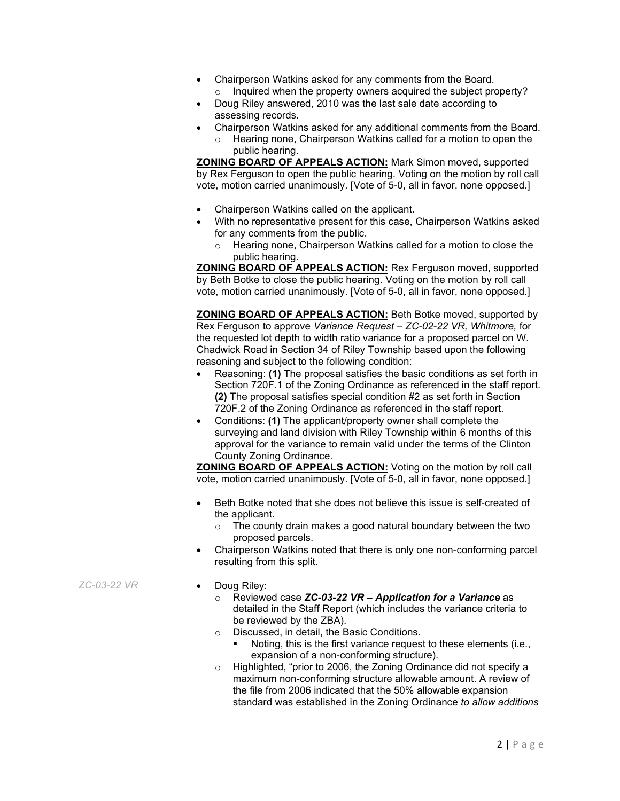- Chairperson Watkins asked for any comments from the Board.
	- $\circ$  Inquired when the property owners acquired the subject property?
- Doug Riley answered, 2010 was the last sale date according to assessing records.
- Chairperson Watkins asked for any additional comments from the Board.
	- o Hearing none, Chairperson Watkins called for a motion to open the public hearing.

**ZONING BOARD OF APPEALS ACTION:** Mark Simon moved, supported by Rex Ferguson to open the public hearing. Voting on the motion by roll call vote, motion carried unanimously. [Vote of 5-0, all in favor, none opposed.]

- Chairperson Watkins called on the applicant.
- With no representative present for this case, Chairperson Watkins asked for any comments from the public.
	- Hearing none, Chairperson Watkins called for a motion to close the public hearing.

**ZONING BOARD OF APPEALS ACTION:** Rex Ferguson moved, supported by Beth Botke to close the public hearing. Voting on the motion by roll call vote, motion carried unanimously. [Vote of 5-0, all in favor, none opposed.]

**ZONING BOARD OF APPEALS ACTION:** Beth Botke moved, supported by Rex Ferguson to approve *Variance Request – ZC-02-22 VR, Whitmore,* for the requested lot depth to width ratio variance for a proposed parcel on W. Chadwick Road in Section 34 of Riley Township based upon the following reasoning and subject to the following condition:

- Reasoning: **(1)** The proposal satisfies the basic conditions as set forth in Section 720F.1 of the Zoning Ordinance as referenced in the staff report. **(2)** The proposal satisfies special condition #2 as set forth in Section 720F.2 of the Zoning Ordinance as referenced in the staff report.
- Conditions: **(1)** The applicant/property owner shall complete the surveying and land division with Riley Township within 6 months of this approval for the variance to remain valid under the terms of the Clinton County Zoning Ordinance.

**ZONING BOARD OF APPEALS ACTION:** Voting on the motion by roll call vote, motion carried unanimously. [Vote of 5-0, all in favor, none opposed.]

- Beth Botke noted that she does not believe this issue is self-created of the applicant.
	- $\circ$  The county drain makes a good natural boundary between the two proposed parcels.
- Chairperson Watkins noted that there is only one non-conforming parcel resulting from this split.
- *ZC-03-22 VR* Doug Riley:
	- o Reviewed case *ZC-03-22 VR – Application for a Variance* as detailed in the Staff Report (which includes the variance criteria to be reviewed by the ZBA).
	- o Discussed, in detail, the Basic Conditions.
		- Noting, this is the first variance request to these elements (i.e., expansion of a non-conforming structure).
	- o Highlighted, "prior to 2006, the Zoning Ordinance did not specify a maximum non-conforming structure allowable amount. A review of the file from 2006 indicated that the 50% allowable expansion standard was established in the Zoning Ordinance *to allow additions*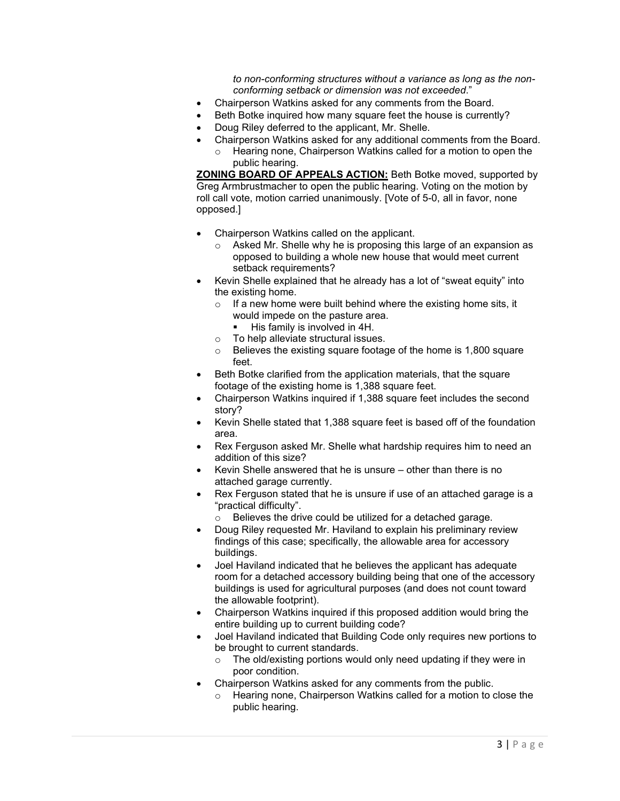*to non-conforming structures without a variance as long as the nonconforming setback or dimension was not exceeded*."

- Chairperson Watkins asked for any comments from the Board.
- Beth Botke inquired how many square feet the house is currently?
- Doug Riley deferred to the applicant, Mr. Shelle.
- Chairperson Watkins asked for any additional comments from the Board.
	- o Hearing none, Chairperson Watkins called for a motion to open the public hearing.

**ZONING BOARD OF APPEALS ACTION:** Beth Botke moved, supported by Greg Armbrustmacher to open the public hearing. Voting on the motion by roll call vote, motion carried unanimously. [Vote of 5-0, all in favor, none opposed.]

- Chairperson Watkins called on the applicant.
	- o Asked Mr. Shelle why he is proposing this large of an expansion as opposed to building a whole new house that would meet current setback requirements?
- Kevin Shelle explained that he already has a lot of "sweat equity" into the existing home.
	- $\circ$  If a new home were built behind where the existing home sits, it would impede on the pasture area.
		- **His family is involved in 4H.**
	- o To help alleviate structural issues.
	- $\circ$  Believes the existing square footage of the home is 1,800 square feet.
- Beth Botke clarified from the application materials, that the square footage of the existing home is 1,388 square feet.
- Chairperson Watkins inquired if 1,388 square feet includes the second story?
- Kevin Shelle stated that 1,388 square feet is based off of the foundation area.
- Rex Ferguson asked Mr. Shelle what hardship requires him to need an addition of this size?
- Kevin Shelle answered that he is unsure other than there is no attached garage currently.
- Rex Ferguson stated that he is unsure if use of an attached garage is a "practical difficulty".
	- o Believes the drive could be utilized for a detached garage.
- Doug Riley requested Mr. Haviland to explain his preliminary review findings of this case; specifically, the allowable area for accessory buildings.
- Joel Haviland indicated that he believes the applicant has adequate room for a detached accessory building being that one of the accessory buildings is used for agricultural purposes (and does not count toward the allowable footprint).
- Chairperson Watkins inquired if this proposed addition would bring the entire building up to current building code?
- Joel Haviland indicated that Building Code only requires new portions to be brought to current standards.
	- $\circ$  The old/existing portions would only need updating if they were in poor condition.
- Chairperson Watkins asked for any comments from the public.
	- o Hearing none, Chairperson Watkins called for a motion to close the public hearing.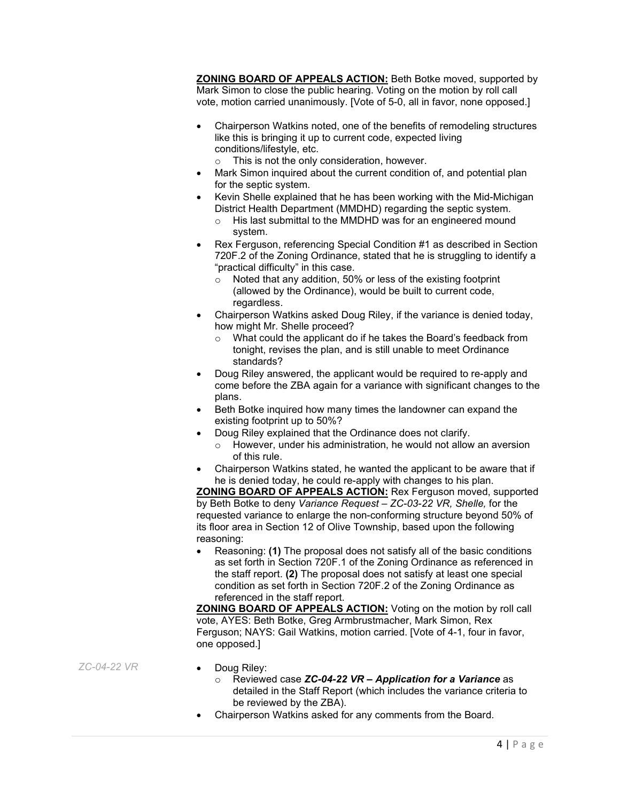**ZONING BOARD OF APPEALS ACTION:** Beth Botke moved, supported by Mark Simon to close the public hearing. Voting on the motion by roll call vote, motion carried unanimously. [Vote of 5-0, all in favor, none opposed.]

- Chairperson Watkins noted, one of the benefits of remodeling structures like this is bringing it up to current code, expected living conditions/lifestyle, etc.
	- o This is not the only consideration, however.
- Mark Simon inquired about the current condition of, and potential plan for the septic system.
- Kevin Shelle explained that he has been working with the Mid-Michigan District Health Department (MMDHD) regarding the septic system.
	- o His last submittal to the MMDHD was for an engineered mound system.
- Rex Ferguson, referencing Special Condition #1 as described in Section 720F.2 of the Zoning Ordinance, stated that he is struggling to identify a "practical difficulty" in this case.
	- o Noted that any addition, 50% or less of the existing footprint (allowed by the Ordinance), would be built to current code, regardless.
- Chairperson Watkins asked Doug Riley, if the variance is denied today, how might Mr. Shelle proceed?
	- o What could the applicant do if he takes the Board's feedback from tonight, revises the plan, and is still unable to meet Ordinance standards?
- Doug Riley answered, the applicant would be required to re-apply and come before the ZBA again for a variance with significant changes to the plans.
- Beth Botke inquired how many times the landowner can expand the existing footprint up to 50%?
- Doug Riley explained that the Ordinance does not clarify.
	- o However, under his administration, he would not allow an aversion of this rule.
- Chairperson Watkins stated, he wanted the applicant to be aware that if he is denied today, he could re-apply with changes to his plan.

**ZONING BOARD OF APPEALS ACTION:** Rex Ferguson moved, supported by Beth Botke to deny *Variance Request – ZC-03-22 VR, Shelle,* for the requested variance to enlarge the non-conforming structure beyond 50% of its floor area in Section 12 of Olive Township, based upon the following reasoning:

• Reasoning: **(1)** The proposal does not satisfy all of the basic conditions as set forth in Section 720F.1 of the Zoning Ordinance as referenced in the staff report. **(2)** The proposal does not satisfy at least one special condition as set forth in Section 720F.2 of the Zoning Ordinance as referenced in the staff report.

**ZONING BOARD OF APPEALS ACTION:** Voting on the motion by roll call vote, AYES: Beth Botke, Greg Armbrustmacher, Mark Simon, Rex Ferguson; NAYS: Gail Watkins, motion carried. [Vote of 4-1, four in favor, one opposed.]

*ZC-04-22 VR* • Doug Riley:

- - o Reviewed case *ZC-04-22 VR – Application for a Variance* as detailed in the Staff Report (which includes the variance criteria to be reviewed by the ZBA).
- Chairperson Watkins asked for any comments from the Board.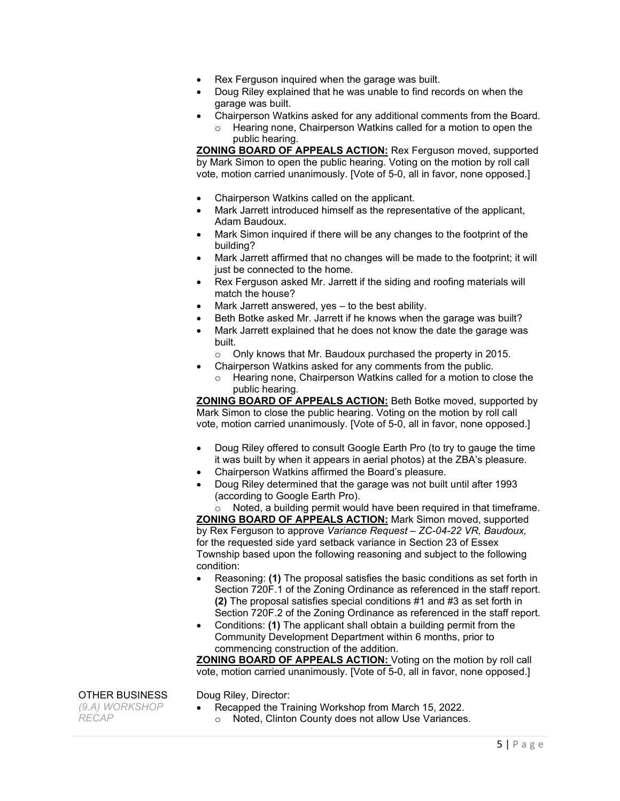- Rex Ferguson inquired when the garage was built.
- Doug Riley explained that he was unable to find records on when the garage was built.
- Chairperson Watkins asked for any additional comments from the Board. Hearing none, Chairperson Watkins called for a motion to open the public hearing.

**ZONING BOARD OF APPEALS ACTION:** Rex Ferguson moved, supported by Mark Simon to open the public hearing. Voting on the motion by roll call vote, motion carried unanimously. [Vote of 5-0, all in favor, none opposed.]

- Chairperson Watkins called on the applicant.
- Mark Jarrett introduced himself as the representative of the applicant, Adam Baudoux.
- Mark Simon inquired if there will be any changes to the footprint of the building?
- Mark Jarrett affirmed that no changes will be made to the footprint; it will just be connected to the home.
- Rex Ferguson asked Mr. Jarrett if the siding and roofing materials will match the house?
- Mark Jarrett answered, yes to the best ability.
- Beth Botke asked Mr. Jarrett if he knows when the garage was built?
- Mark Jarrett explained that he does not know the date the garage was built.
	- o Only knows that Mr. Baudoux purchased the property in 2015.
	- Chairperson Watkins asked for any comments from the public.
	- Hearing none, Chairperson Watkins called for a motion to close the public hearing.

**ZONING BOARD OF APPEALS ACTION:** Beth Botke moved, supported by Mark Simon to close the public hearing. Voting on the motion by roll call vote, motion carried unanimously. [Vote of 5-0, all in favor, none opposed.]

- Doug Riley offered to consult Google Earth Pro (to try to gauge the time it was built by when it appears in aerial photos) at the ZBA's pleasure.
- Chairperson Watkins affirmed the Board's pleasure.
- Doug Riley determined that the garage was not built until after 1993 (according to Google Earth Pro).

o Noted, a building permit would have been required in that timeframe. **ZONING BOARD OF APPEALS ACTION:** Mark Simon moved, supported by Rex Ferguson to approve *Variance Request – ZC-04-22 VR, Baudoux,*  for the requested side yard setback variance in Section 23 of Essex Township based upon the following reasoning and subject to the following condition:

- Reasoning: **(1)** The proposal satisfies the basic conditions as set forth in Section 720F.1 of the Zoning Ordinance as referenced in the staff report. **(2)** The proposal satisfies special conditions #1 and #3 as set forth in Section 720F.2 of the Zoning Ordinance as referenced in the staff report.
- Conditions: **(1)** The applicant shall obtain a building permit from the Community Development Department within 6 months, prior to commencing construction of the addition.

**ZONING BOARD OF APPEALS ACTION:** Voting on the motion by roll call vote, motion carried unanimously. [Vote of 5-0, all in favor, none opposed.]

OTHER BUSINESS

- Doug Riley, Director: • Recapped the Training Workshop from March 15, 2022.
	- o Noted, Clinton County does not allow Use Variances.

*(9.A) WORKSHOP RECAP*